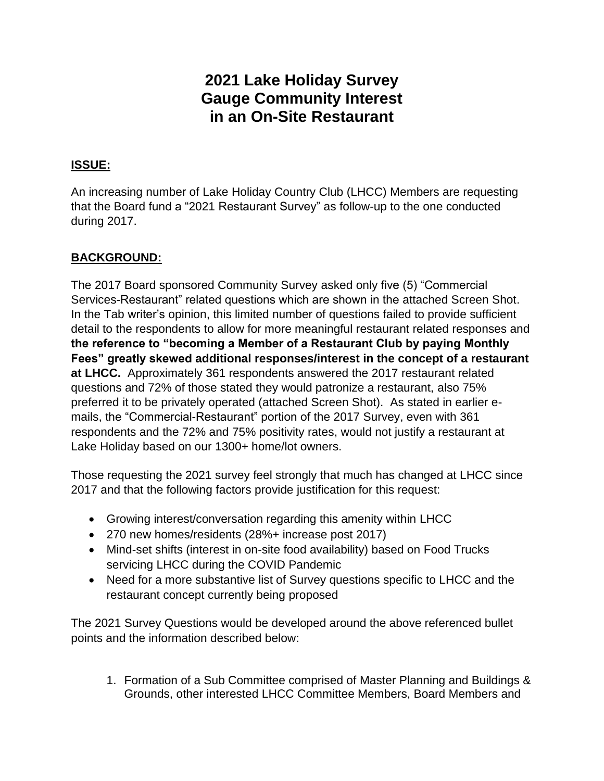# **2021 Lake Holiday Survey Gauge Community Interest in an On-Site Restaurant**

## **ISSUE:**

An increasing number of Lake Holiday Country Club (LHCC) Members are requesting that the Board fund a "2021 Restaurant Survey" as follow-up to the one conducted during 2017.

# **BACKGROUND:**

The 2017 Board sponsored Community Survey asked only five (5) "Commercial Services-Restaurant" related questions which are shown in the attached Screen Shot. In the Tab writer's opinion, this limited number of questions failed to provide sufficient detail to the respondents to allow for more meaningful restaurant related responses and **the reference to "becoming a Member of a Restaurant Club by paying Monthly Fees" greatly skewed additional responses/interest in the concept of a restaurant at LHCC.** Approximately 361 respondents answered the 2017 restaurant related questions and 72% of those stated they would patronize a restaurant, also 75% preferred it to be privately operated (attached Screen Shot). As stated in earlier emails, the "Commercial-Restaurant" portion of the 2017 Survey, even with 361 respondents and the 72% and 75% positivity rates, would not justify a restaurant at Lake Holiday based on our 1300+ home/lot owners.

Those requesting the 2021 survey feel strongly that much has changed at LHCC since 2017 and that the following factors provide justification for this request:

- Growing interest/conversation regarding this amenity within LHCC
- 270 new homes/residents (28%+ increase post 2017)
- Mind-set shifts (interest in on-site food availability) based on Food Trucks servicing LHCC during the COVID Pandemic
- Need for a more substantive list of Survey questions specific to LHCC and the restaurant concept currently being proposed

The 2021 Survey Questions would be developed around the above referenced bullet points and the information described below:

1. Formation of a Sub Committee comprised of Master Planning and Buildings & Grounds, other interested LHCC Committee Members, Board Members and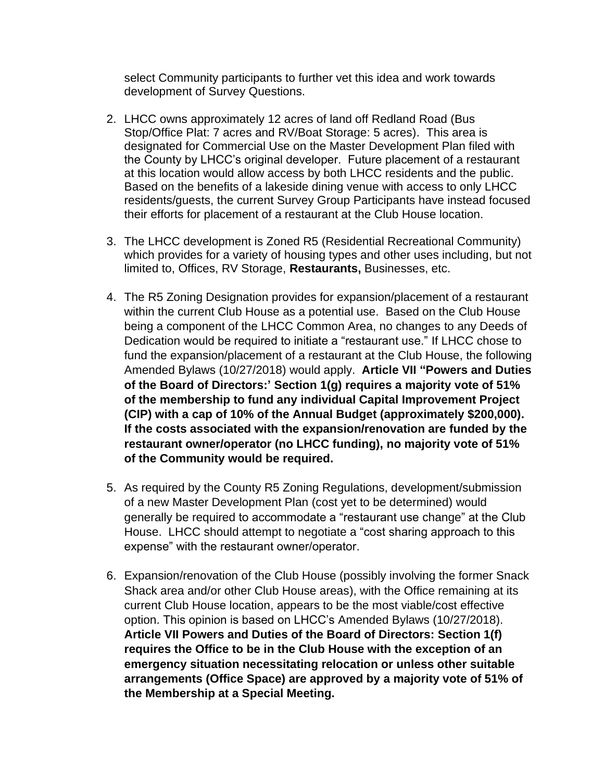select Community participants to further vet this idea and work towards development of Survey Questions.

- 2. LHCC owns approximately 12 acres of land off Redland Road (Bus Stop/Office Plat: 7 acres and RV/Boat Storage: 5 acres). This area is designated for Commercial Use on the Master Development Plan filed with the County by LHCC's original developer. Future placement of a restaurant at this location would allow access by both LHCC residents and the public. Based on the benefits of a lakeside dining venue with access to only LHCC residents/guests, the current Survey Group Participants have instead focused their efforts for placement of a restaurant at the Club House location.
- 3. The LHCC development is Zoned R5 (Residential Recreational Community) which provides for a variety of housing types and other uses including, but not limited to, Offices, RV Storage, **Restaurants,** Businesses, etc.
- 4. The R5 Zoning Designation provides for expansion/placement of a restaurant within the current Club House as a potential use. Based on the Club House being a component of the LHCC Common Area, no changes to any Deeds of Dedication would be required to initiate a "restaurant use." If LHCC chose to fund the expansion/placement of a restaurant at the Club House, the following Amended Bylaws (10/27/2018) would apply. **Article VII "Powers and Duties of the Board of Directors:' Section 1(g) requires a majority vote of 51% of the membership to fund any individual Capital Improvement Project (CIP) with a cap of 10% of the Annual Budget (approximately \$200,000). If the costs associated with the expansion/renovation are funded by the restaurant owner/operator (no LHCC funding), no majority vote of 51% of the Community would be required.**
- 5. As required by the County R5 Zoning Regulations, development/submission of a new Master Development Plan (cost yet to be determined) would generally be required to accommodate a "restaurant use change" at the Club House. LHCC should attempt to negotiate a "cost sharing approach to this expense" with the restaurant owner/operator.
- 6. Expansion/renovation of the Club House (possibly involving the former Snack Shack area and/or other Club House areas), with the Office remaining at its current Club House location, appears to be the most viable/cost effective option. This opinion is based on LHCC's Amended Bylaws (10/27/2018). **Article VII Powers and Duties of the Board of Directors: Section 1(f) requires the Office to be in the Club House with the exception of an emergency situation necessitating relocation or unless other suitable arrangements (Office Space) are approved by a majority vote of 51% of the Membership at a Special Meeting.**